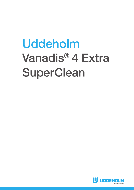# Uddeholm Vanadis® 4 Extra SuperClean

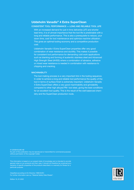## **Uddeholm Vanadis® 4 Extra SuperClean**

#### CONSISTENT TOOL PERFORMANCE — LONG AND RELIABLE TOOL LIFE

With an increased demand for just in time deliveries (JIT) and shorter lead time, it is of utmost importance that the tool life is predictable with a long and reliable performance. This is also a prerequisite to reduce, your down time, cost for tool maintenance and optimize machine utilization. This gives an optimal tooling economy and a competitive production cost.

Uddeholm Vanadis 4 Extra SuperClean properties offer very good combination of wear resistance and ductility. This makes it possible for consistent tool performance for demanding cold work applications such as blanking and forming of austenitic stainless steel and Advanced High Strength Steel (AHSS) where a combination of abrasive, adhesive or mixed wear resistance is needed in combination with resistance to chipping and cracking.

#### **MACHINABILITY**

The tool making process is a very important link in the tooling sequence. In order to achieve a long and reliable tool performance the quality of the tool in terms of surface finish is extremely important. Uddeholm Vanadis 4 Extra SuperClean offers a very good machinability and grindability compared to other high alloyed PM- tool steel, giving the best conditions for an excellent tool quality. This is the result of the well balanced chemistry and the SuperClean production route.

© UDDEHOLMS AB No part of this publication may be reproduced or transmitted for commercial purposes without permission of the copyright holder.

This information is based on our present state of knowledge and is intended to provide general notes on our products and their uses. It should not therefore be construed as a warranty of specific properties of the products described or a warranty for fitness for a particular purpose.

Classified according to EU Directive 1999/45/EC For further information see our "Material Safety Data Sheets".

Edition 15, 01.2022

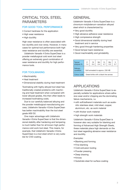## CRITICAL TOOL STEEL **PARAMETERS**

## FOR GOOD TOOL PERFORMANCE

- Correct hardness for the application
- High wear resistance
- High ductility

High wear resistance is often associated with low ductility and vice-versa. However, in many cases for optimal tool performance both high wear resistance and ductility are essential.

Uddeholm Vanadis 4 Extra SuperClean is a powder metallurgical cold work tool steel offering an extremely good combination of wear resistance and ductility for high performance tools.

## FOR TOOLMAKING

- Machinability
- Heat treatment
- Dimensional stability during heat treatment

Toolmaking with highly alloyed tool steel has traditionally created problems with machining and heat treatment when compared with lower alloyed grades, this then often leads to increased toolmaking costs.

Due to our carefully balanced alloying and the powder metallurgical manufacturing process, Uddeholm Vanadis 4 Extra SuperClean has better machinability than the tool steel grade AISI D2.

One major advantage with Uddeholm Vanadis 4 Extra SuperClean is that the dimensional stability after hardening and tempering is much better than for all known high performance cold work tool steel. This means, for example, that Uddeholm Vanadis 4 Extra SuperClean is a tool steel which is very suitable for CVD coating.

## **GENERAL**

Uddeholm Vanadis 4 Extra SuperClean is a chromium-molybdenum-vanadium alloyed steel which is characterized by:

- Very good ductility
- High abrasive-adhesive wear resistance
- High compressive strength
- Good dimensional stability during heat treatment and in service
- Very good through-hardening properties
- Good temper back resistance
- Good machinability and grindability

| Typical<br>analysis % | C<br>1.4                             | Si<br>0.4 | Mn<br>0.4 | Cr<br>4.7 | Mo<br>3.5 | v<br>3.7 |
|-----------------------|--------------------------------------|-----------|-----------|-----------|-----------|----------|
| Delivery<br>condition | Soft annealed to approx. 230 HB      |           |           |           |           |          |
| Colour code           | Green/white with a black line across |           |           |           |           |          |

## APPLICATIONS

Uddeholm Vanadis 4 Extra SuperClean is especially suitable for applications where adhesive wear and/or chipping are the dominating failure mechanisms, i.e.

- with soft/adherent materials such as austenitic stainless steel, mild steel, copper, aluminium, etc. as work material
- with thicker work material
- high strength work materials

Uddeholm Vanadis 4 Extra SuperClean is however also very suitable for blanking and forming of Advanced High Strength Steels, these materials place high demands on the tool steel regarding abrasive wear resistance and ductility.

*Examples:*

- Blanking and forming
- Fine blanking
- Cold extrusion tooling
- Powder pressing
- Deep drawing
- Knives
- Substrate steel for surface coating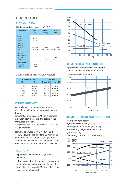## **PROPERTIES**

## PHYSICAL DATA

#### Hardened and tempered to 60 HRC.

| Temperature                                                                                  | $20^{\circ}$ C<br>(68°F)          | $200^{\circ}$ C<br>(390°F)        | 400°C<br>(750°F)              |
|----------------------------------------------------------------------------------------------|-----------------------------------|-----------------------------------|-------------------------------|
| Density<br>kq/m <sup>3</sup><br>lbs/in <sup>3</sup>                                          | 7700<br>0.278                     |                                   |                               |
| Modulus of<br>elasticity<br>N/mm <sup>2</sup><br>psi                                         | 206 000<br>29.8 x 10 <sup>6</sup> | 200 000<br>29.0 x 10 <sup>6</sup> | 185 000<br>$26.8 \times 10^6$ |
| <b>Thermal</b><br>conductivity<br>$W/m \bullet °C$<br>Btu in/(ft <sup>2</sup> h $\degree$ F) |                                   | 30<br>210                         | 30<br>210                     |
| Specific heat<br>J/kg °C<br>Btu/lb °F                                                        | 460<br>0.11                       |                                   |                               |

#### COEFFICIENT OF THERMAL EXPANSION

|            | Temperature range | Coefficient           |                                                  |  |
|------------|-------------------|-----------------------|--------------------------------------------------|--|
| °C         | °F                |                       | $^{\circ}$ C from 20 $\mid$ $^{\circ}$ F from 68 |  |
| $20 - 100$ | 68-212            | $11.0 \times 10^{-6}$ | $6.1 \times 10^{-6}$                             |  |
| $20 - 200$ | 68-392            | $11.3 \times 10^{-6}$ | $6.3 \times 10^{-6}$                             |  |
| $20 - 300$ | 68-572            | $11.7 \times 10^{-6}$ | $6.5 \times 10^{-6}$                             |  |
| $20 - 400$ | 68-752            | $12.1 \times 10^{-6}$ | $6.7 \times 10^{-6}$                             |  |
| $20 - 500$ | 68-932            | $12.4 \times 10^{-6}$ | $6.9 \times 10^{-6}$                             |  |

## IMPACT STRENGTH

Approximate room temperature impact strength as a function of hardness is shown below.

*Original bar dimension:* Ø 105 mm, samples are taken from the centre and tested in the transverse direction.

*Specimen size:* 7 x 10 x 55 mm (0.27 x 0.40 x 2.2") unnotched.

Hardened between 940°C (1725°F) and 1150°C (2100°F). Holding time 30 minutes up to 1100°C (2010°F), over 1100°C (2010°F) 15 minutes. Quenched in air. Tempered 2 x 2h between 525°C (980°F) and 570°C (1060°F).

## **DUCTILITY**

Impact test, unnotched, CR2 (thickness direction).

The impact strengths shown in the graph up to the right, are average values. Vanadis 8 SuperClean and Vanadis 23 SuperClean have a similar impact strength.



## COMPRESSIVE YIELD STRENGTH

Approximate compressive yield strength versus hardness at room temperature.

Compressive yield strength, MPa



#### BEND STRENGTH AND DEFLECTION

Four-point bend testing. *Specimen size:* 5 mm (0.2") Ø *Loading rate:* 5 mm/min. (0.2"/min.) *Austenitizing temperature:* 990–1180°C (1810–2160°F) *Tempering:* 3 x 1 h at 560°C (1040°F)

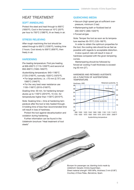## HEAT TREATMENT

## SOFT ANNEALING

Protect the steel and heat through to 900°C (1650°F). Cool in the furnace at 10°C (20°F) per hour to 750°C (1380°F), th en freely in air.

## STRESS RELIEVING

After rough machining the tool should be eated through to 650°C (1200°F), holding time 2 hours. Cool slowly to 500°C (930°F), then freely in air.

## **HARDENING**

*Pre-heating temperature:* First pre-heating at 600–650°C (1110–1200°F) and second at 850–900°C (1560–1650°F)

*Austenitizing temperature:* 940–1180°C (1725–2160°F), normally 1020°C (1870°F).

- For large sections, i.e. >70 mm (2.75") use 1060°C (1940°F).
- For the very best wear resistance use 1100–1180°C (2010–2160°F).

*Soaking time:* 30 min. for hardening temperatures up to 1100°C (2010°F), 15 min. for temperatures higher than 1100°C (2010°F).

*Note:* Soaking time = time at hardening temperature after the tool is fully heated through. A holding time of less than recommended time will result in loss of hardness.

Protect the tool against decarburization and oxidation during hardening.

Further information can be found in the Uddeholm brochure "Heat treatment of tool steels"

## QUENCHING MEDIA

- Vacuum (high speed gas at sufficient overpressure, minimum 2 bar)
- Martempering bath or fluidized bed at 200–550°C (390–1020°F)
- Forced air/gas

*Note:* Temper the tool as soon as its temperature reaches 50–70°C (120–160°F).

In order to obtain the optimum properties for the tool, the cooling rate should be as fast as possible with regards to acceptable distortion.

A slow quench rate will result in loss of hardness compared with the given tempering curves.

Martempering should be followed by forced air cooling if wall thickness is exceeding 50 mm (2").

#### HARDNESS AND RETAINED AUSTENITE AS A FUNCTION OF AUSTENITIZING **TEMPERATURE**





*Sheet material strength 1000 MPa, thickness 2 mm (0.08"). Courtesy of Essa Palau, Barcelona, Spain.*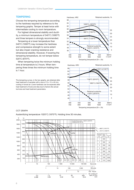## **TEMPERING**

Choose the tempering temperature according to the hardness required by reference to the tempering graphs. Temper at least twice with intermediate cooling to room temperature.

For highest dimensional stability and ductility, a minimum temperature of 540°C (1000°F) and three tempers is strongly recommended.

Tempering at a lower temperature than 540°C (1000°F) may increase the hardness and compressive strength to some extent but also impair cracking resistance and dimensional stability. However, if lowering the tempering temperature, do not temper below 520°C (970°F).

When tempering twice the minimum holding time at temperature is 2 hours. When tempering three times the minimum holding time is 1 hour.

The tempering curves, in the two graphs, are obtained after heat treatment of samples with a size of 15 x 15 x 40 mm, cooling in forced air. Lower hardness can be expected after heat treatment of tools and dies due to factors like actual tool size and heat treatment parameters.





#### CCT GRAPH

Austenitizing temperature 1020°C (1870°F). Holding time 30 minutes.

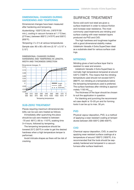## DIMENSIONAL CHANGES DURING HARDENING AND TEMPERING

Dimensional changes have been measured after hardening and tempering.

*Austenitizing:* 1020°C/30 min. (1870°F/30 min.), cooling in vacuum furnace at 1.1°C/sec. (2°F/sec.) between 800°C (1470°F) and 500°C (930°F).

*Tempering:* 2 x 2 h at various temperatures

*Sample size:* 80 x 80 x 80 mm (3.15" x 3.15" x 3.15")

DIMENSIONAL CHANGES DURING HARDENING AND TEMPERING IN LENGTH, WIDTH AND THICKNESS DIRECTION



#### SUB-ZERO TREATMENT

Pieces requiring maximum dimensional stability can be sub-zero treated as follows:

Immediately after quenching the piece should be sub-zero treated to between -70 and -80°C (-95 to -110°F), soaking time 3–4 hours, followed by tempering.

The tempering temperature should be lowered 25°C (50°F) in order to get the desired hardness when a high temperature temper is performed.

Avoid intricate shapes as there will be risk of cracking.

## SURFACE TREATMENT

Some cold work tool steel are given a surface treatment in order to reduce friction and increase wear resistance. The most commonly used treatments are nitriding and surface coating with wear resistant layers produced via PVD and CVD.

The high hardness and toughness together with a good dimensional stability makes Uddeholm Vanadis 4 Extra SuperClean ideal as a substrate steel for various surface coatings.

## NITRIDING

Nitriding gives a hard surface layer that is resistant to wear and erosion.

Uddeholm Vanadis 4 Extra SuperClean is normally high temperature tempered at around 540°C (1000°F). This means that the nitriding temperature used should not exceed 525°C (980°F). Ion nitriding at a temperature below the tempering temperature used is preferred. The surface hardness after nitriding is approximately 1150  $HV_{0,2 \text{ kg}}$ .

The thickness of the layer should be chosen to suit the application in question.

For blanking and punching the recommended case depth is 10–20 µm and for forming tools it can be up to max. 30 µm.

#### **PVD**

Physical vapour deposition, PVD, is a method of applying a wear resistant coating at temperatures between 200–500°C (390–930°F).

## **CVD**

Chemical vapour deposition, CVD, is used for applying wear resistant surface coatings at a temperature of around 1000°C (1830°F). It is recommended that the tools should be separately hardened and tempered in a vacuum furnace after surface treatment.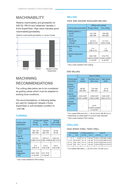## MACHINABILITY

Relative machinability and grindability for AISI D2, PM 23 and Uddeholm Vanadis 4 Extra SuperClean. High value indicates good machinability/grindability.

Relative machinability/grindability, (1=worse 5=best)



## MACHINING RECOMMENDATIONS

The cutting data below are to be considered as guiding values which must be adapted to existing local conditions.

*The recommendations, in following tables, are valid for Uddeholm Vanadis 4 Extra SuperClean in soft annealed condition to ~230 HB.*

## TURNING

| Cutting data<br>parameters                 | Rough<br>turning           | Turning with carbide<br>Fine<br>turning | <b>Turning</b><br>with HSS<br>Fine turning |
|--------------------------------------------|----------------------------|-----------------------------------------|--------------------------------------------|
| Cutting speed $(v)$<br>$m/min$ .<br>f.p.m. | 120-170<br>395-560         | 170-220<br>560-720                      | $15 - 20$<br>$50 - 65$                     |
| Feed (f)<br>mm/rev<br>i.p.r.               | $0.2 - 0.4$<br>0.008-0.016 | $0.05 - 0.2$<br>$0.002 - 0.008$         | $0.05 - 0.3$<br>$0.002 - 0.012$            |
| Depth of cut $(a_n)$<br>mm<br>inch         | $2 - 4$<br>$0.08 - 0.16$   | $0.5 - 2$<br>$0.02 - 0.08$              | $0.5 - 3$<br>$0.02 - 0.08$                 |
| Carbide<br>designation<br>ISO              | K20*, P20*<br>or cermet*   | K15*, P15*<br>or cermet*                |                                            |

\* Use a wear resistance CVD-coating

## MILLING

FACE AND SQUARE SHOULDER MILLING

|                                            | Milling with carbide                      |                                           |  |
|--------------------------------------------|-------------------------------------------|-------------------------------------------|--|
| Cutting data parameters                    | Rough milling                             | Fine milling                              |  |
| Cutting speed $(v)$<br>$m/min$ .<br>f.p.m. | 110-150<br>360-490                        | 150-200<br>490-655                        |  |
| Feed $(f)$<br>mm/tooth<br>in/tooth         | $0.2 - 0.4$<br>$0.008 - 0.016$            | $0.1 - 0.2$<br>$0.004 - 0.008$            |  |
| Depth of cut $(a)$<br>mm<br>inch           | $2 - 4$<br>$0.08 - 0.16$                  | $-2$<br>$-0.08$                           |  |
| Carbide designation<br><b>ISO</b>          | K20, P20<br>Coated carbide*<br>or cermet* | K15, P15<br>Coated carbide*<br>or cermet* |  |

\* Use a wear resistant CVD coating

#### END MILLING

|                                              | Type of milling                          |                                                        |                                          |  |  |
|----------------------------------------------|------------------------------------------|--------------------------------------------------------|------------------------------------------|--|--|
| Cutting data<br>parameters                   | Solid<br>carbide                         | Carbide index-<br>able insert                          | High speed<br>steel <sup>1)</sup>        |  |  |
| Cutting<br>speed $(v_0)$<br>m/min.<br>f.p.m. | 60-80<br>200-260                         | 110-160<br>360-525                                     | $8 - 12$<br>$26 - 40$                    |  |  |
| Feed $(f)$<br>mm/tooth<br>in/tooth           | $0.03 - 0.20^{2}$<br>$0.001 - 0.008^{2}$ | $0.08 - 0.20^{2}$<br>$0.003 - 0.008^{2}$               | $0.05 - 0.35^{2}$<br>$0.002 - 0.014^{2}$ |  |  |
| Carbide<br>designation<br><b>ISO</b>         |                                          | $K15^{3}$<br>Coated carbide<br>or cermet <sup>3)</sup> |                                          |  |  |

<sup>1)</sup> For coated HSS end mill  $v_c = 18 - 24$  m/min. (60–80 f.p.m.)

<sup>2)</sup> Depending on radial depth of cut and cutter diameter

3) Use a wear resistant CVD-coating

## DRILLING

HIGH SPEED STEEL TWIST DRILL

| m <sub>m</sub> | <b>Drill diameter</b><br>inch |             | Cutting speed $(v)$<br>$m/min + f.p.m.$ | mm/rev | Feed (f)<br>i.p.r.                             |
|----------------|-------------------------------|-------------|-----------------------------------------|--------|------------------------------------------------|
| $-5$           |                               |             |                                         |        | $-3/16$ 12-14* $40-46$ * 0.05-0.15 0.002-0.006 |
| $5 - 10$       | $3/16 - 3/8$                  | $12 - 14^*$ |                                         |        | 40-46* 0.15-0.25 0.006-0.010                   |
| $10 - 15$      | $3/8 - 5/8$                   | $12 - 14*$  |                                         |        | 40-46* 0.25-0.30 0.010-0.012                   |
| $15 - 20$      | $5/8 - 3/4$                   | $12 - 14^*$ |                                         |        | 40-46* 0.30-0.35 0.012-0.014                   |

 $*$  For coated HSS drills  $v_{\rm c}$  = 22–24 m/min. (72–80 f.p.m.)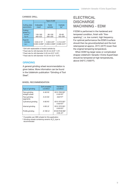## CARBIDE DRILL

|                                                 | Type of drill                         |                                                              |                                   |  |  |
|-------------------------------------------------|---------------------------------------|--------------------------------------------------------------|-----------------------------------|--|--|
| Cutting data<br>parameters                      | Indexable<br>insert                   | Solid<br>carbide                                             | Carbide<br>tip <sup>1</sup>       |  |  |
| Cutting<br>speed $(v_$ )<br>$m/min$ .<br>f.p.m. | 140-160<br>460-525                    | 80-100<br>260-330                                            | $50 - 60$<br>165-200              |  |  |
| Feed (f)<br>mm/rev<br>i.p.r.                    | $0.05 - 0.15^{2}$<br>$0.002 - 0.0062$ | $0.08 - 0.20$ <sup>3)</sup><br>$0.003 - 0.008$ <sup>3)</sup> | $0.15 - 0.254$<br>$0.006 - 0.014$ |  |  |

<sup>1)</sup> Drill with replaceable or brazed carbide tip

 $2)$  Feed rate for drill diameter 20–40 mm  $(0.8"$ –1.6")

3) Feed rate for drill diameter 5–20 mm (0.2"–0.8")

4) Feed rate for drill diameter 10–20 mm (0.4"–0.8")

## **GRINDING**

A general grinding wheel recommendation is given below. More information can be found in the Uddeholm publication "Grinding of Tool Steel".

#### WHEEL RECOMMENDATION

| Type of grinding                | Soft annealed<br>condition | Hardened<br>condition                                                                 |
|---------------------------------|----------------------------|---------------------------------------------------------------------------------------|
| Face grinding<br>straight wheel | A 46 HV                    | B151 R50 B3 <sup>1)</sup><br>A 46 $HV^{2}$                                            |
| Face grinding<br>segments       | A 24 GV                    | A46 FV <sup>2)</sup>                                                                  |
| Cylindrical grinding            | A 60 KV                    | B <sub>151</sub> R <sub>75</sub> B <sub>3</sub> <sup>1</sup><br>A 60 KV <sup>2)</sup> |
| Internal grinding               | A 60 JV                    | B151 R75 B3 <sup>1)</sup><br>A 60 KV <sup>2)</sup>                                    |
| Profile grinding                | A 100 LV                   | B126 R100 B6 <sup>1)</sup><br>A 80 $JV^{2}$                                           |

*<sup>1</sup>*) If possible use CBN wheels for this application

<sup>2)</sup> Grinding wheels containing ceramic  $\mathsf{Al}_2\mathsf{O}_3^{\vphantom{\dagger}}$  type is recommended

## **ELECTRICAL DISCHARGE** MACHINING - EDM

If EDM is performed in the hardened and tempered condition, finish with "finesparking", i.e. low current, high frequency. For optimal performance the EDM'd surface should then be ground/polished and the tool retempered at approx. 25°C (45°F) lower than the original tempering temperature.

When EDM'ing larger sizes or complicated shapes Uddeholm Vanadis 4 Extra SuperClean should be tempered at high temperatures, above 540°C (1000°F).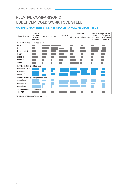## RELATIVE COMPARISON OF UDDEHOLM COLD WORK TOOL STEEL

## MATERIAL PROPERTIES AND RESISTANCE TO FAILURE MECHANISMS

| Uddeholm grade                        | Hardness/<br>resistance<br>to plastic<br>deformation | Machinability | Grindability | Dimensional<br>stability | Resistance to<br>Abrasive wear   Adhesive wear | Ductility/<br>resistance<br>to chipping | Fatigue cracking resistance<br>Toughness/<br>gross cracking<br>resistance |
|---------------------------------------|------------------------------------------------------|---------------|--------------|--------------------------|------------------------------------------------|-----------------------------------------|---------------------------------------------------------------------------|
| Conventional cold work tool steel     |                                                      |               |              |                          |                                                |                                         |                                                                           |
| Arne                                  |                                                      |               |              |                          |                                                |                                         |                                                                           |
| Calmax                                |                                                      |               |              |                          |                                                |                                         |                                                                           |
| Caldie (ESR)                          |                                                      |               |              |                          |                                                |                                         |                                                                           |
| Rigor                                 |                                                      |               |              |                          |                                                |                                         |                                                                           |
| Sleipner                              |                                                      |               |              |                          |                                                |                                         |                                                                           |
| Sverker 21                            |                                                      |               |              |                          |                                                |                                         |                                                                           |
| Sverker 3                             |                                                      |               |              |                          |                                                |                                         |                                                                           |
| Powder metallurgical tool steel       |                                                      |               |              |                          |                                                |                                         |                                                                           |
| Vanadis 4 Extra*                      |                                                      |               |              |                          |                                                |                                         |                                                                           |
| Vanadis 8*                            |                                                      |               |              |                          |                                                |                                         |                                                                           |
| Vancron*                              |                                                      |               |              |                          |                                                |                                         |                                                                           |
| Powder metallurgical high speed steel |                                                      |               |              |                          |                                                |                                         |                                                                           |
| Vanadis 23*                           |                                                      |               |              |                          |                                                |                                         |                                                                           |
| Vanadis 30*                           |                                                      |               |              |                          |                                                |                                         |                                                                           |
| Vanadis 60*                           |                                                      |               |              |                          |                                                |                                         |                                                                           |
| Conventional high speed steel         |                                                      |               |              |                          |                                                |                                         |                                                                           |
| AISI M <sub>2</sub>                   |                                                      |               |              |                          |                                                |                                         |                                                                           |

\* Uddeholm PM SuperClean tool steels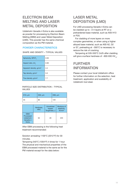## ELECTRON BEAM MELTING AND LASER METAL DEPOSITION

Uddeholm Vanadis 4 Extra is also available as powder for processing by Electron Beam Melting (EBM) and Laser Metal Deposition (LMD). This powder has the same chemical composition as the PM material.

## POWDER CHARACTERISTICS

#### SHAPE AND DENSITY – TYPICAL VALUES

| Sphericity, SPHT <sub>3</sub>       | 0.93 |
|-------------------------------------|------|
| Aspect ratio, b/l <sub>3</sub>      | 0.90 |
| Apparent density, g/cm <sup>3</sup> | 4.4  |
| Tap density, g/cm <sup>3</sup>      | 5.0  |
| True density, g/cm <sup>3</sup>     | 7.7  |

#### PARTICLE SIZE DISTRIBUTION – TYPICAL VALUES

| $\vert$ D <sub>10</sub> , $\mu$ m | D <sub>50</sub> , $\mu$ m | D90, $\mu$ m |
|-----------------------------------|---------------------------|--------------|
| 55                                | 80                        | 120          |

|                                                           | Hardness,<br><b>HRC</b> | <b>Unnotched</b><br>Impact<br>Toughness, J | Modulus of<br>elasticity,<br>N/mm <sup>2</sup> |
|-----------------------------------------------------------|-------------------------|--------------------------------------------|------------------------------------------------|
| <b>EBM</b><br>Processed<br>Uddeholm<br>Vanadis 4<br>Extra | 64                      | 20                                         | 225                                            |

After EBM processing is the following heat treatment recommended:

Solution annealing 1100°C (2012°F) for 30 minutes.

Tempering 540°C (1004°F) 4 times for 1 hour The physical and mechanical properties of the EBM processed material is the same as for the PM material except for the data below:

## LASER METAL DEPOSITION (LMD)

For LMD processing Vanadis 4 Extra can be cladded up to ~3-4 layers at RT on a prehardened base material, such as AISI H13 or P20.

For cladding of more layers on more complex geometries, or when using a higher alloyed base material, such as AISI A2, D2 or S7, preheating at ~300°C is necessary to reduce the risk of cracking.

Tempering at 535-550°C 2x2h after cladding will give a surface hardness of  $\sim$ 900-930 HV<sub>10</sub>.

## FURTHER INFORMATION

Please contact your local Uddeholm office for further information on the selection, heat treatment, application and availability of Uddeholm tool steel.